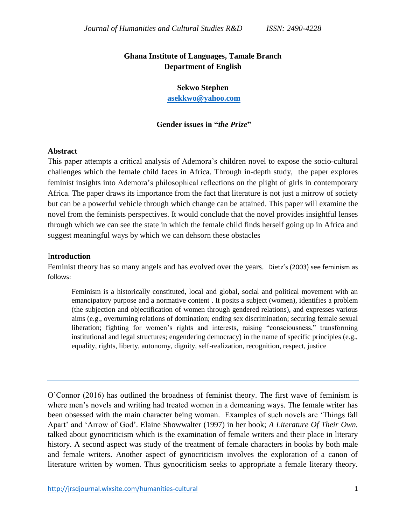# **Ghana Institute of Languages, Tamale Branch Department of English**

#### **Sekwo Stephen**

**[asekkwo@yahoo.com](mailto:asekkwo@yahoo.com)**

### **Gender issues in "***the Prize***"**

### **Abstract**

This paper attempts a critical analysis of Ademora's children novel to expose the socio-cultural challenges which the female child faces in Africa. Through in-depth study, the paper explores feminist insights into Ademora's philosophical reflections on the plight of girls in contemporary Africa. The paper draws its importance from the fact that literature is not just a mirrow of society but can be a powerful vehicle through which change can be attained. This paper will examine the novel from the feminists perspectives. It would conclude that the novel provides insightful lenses through which we can see the state in which the female child finds herself going up in Africa and suggest meaningful ways by which we can dehsorn these obstacles

#### I**ntroduction**

Feminist theory has so many angels and has evolved over the years. Dietz's (2003) see feminism as follows:

Feminism is a historically constituted, local and global, social and political movement with an emancipatory purpose and a normative content . It posits a subject (women), identifies a problem (the subjection and objectification of women through gendered relations), and expresses various aims (e.g., overturning relations of domination; ending sex discrimination; securing female sexual liberation; fighting for women's rights and interests, raising "consciousness," transforming institutional and legal structures; engendering democracy) in the name of specific principles (e.g., equality, rights, liberty, autonomy, dignity, self-realization, recognition, respect, justice

O'Connor (2016) has outlined the broadness of feminist theory. The first wave of feminism is where men's novels and writing had treated women in a demeaning ways. The female writer has been obsessed with the main character being woman. Examples of such novels are 'Things fall Apart' and 'Arrow of God'. Elaine Showwalter (1997) in her book; *A Literature Of Their Own.*  talked about gynocriticism which is the examination of female writers and their place in literary history. A second aspect was study of the treatment of female characters in books by both male and female writers. Another aspect of gynocriticism involves the exploration of a canon of literature written by women. Thus gynocriticism seeks to appropriate a female literary theory.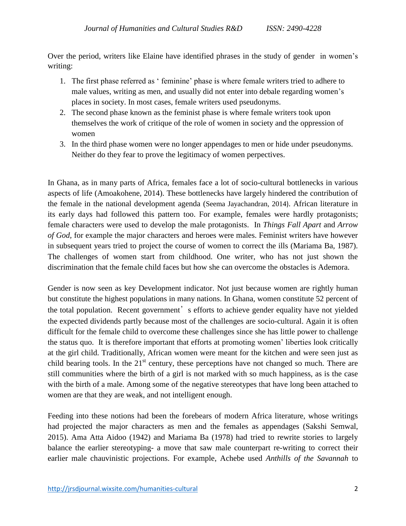Over the period, writers like Elaine have identified phrases in the study of gender in women's writing:

- 1. The first phase referred as ' feminine' phase is where female writers tried to adhere to male values, writing as men, and usually did not enter into debale regarding women's places in society. In most cases, female writers used pseudonyms.
- 2. The second phase known as the feminist phase is where female writers took upon themselves the work of critique of the role of women in society and the oppression of women
- 3. In the third phase women were no longer appendages to men or hide under pseudonyms. Neither do they fear to prove the legitimacy of women perpectives.

In Ghana, as in many parts of Africa, females face a lot of socio-cultural bottlenecks in various aspects of life (Amoakohene, 2014). These bottlenecks have largely hindered the contribution of the female in the national development agenda (Seema Jayachandran, 2014). African literature in its early days had followed this pattern too. For example, females were hardly protagonists; female characters were used to develop the male protagonists. In *Things Fall Apart* and *Arrow of God,* for example the major characters and heroes were males. Feminist writers have however in subsequent years tried to project the course of women to correct the ills (Mariama Ba, 1987). The challenges of women start from childhood. One writer, who has not just shown the discrimination that the female child faces but how she can overcome the obstacles is Ademora.

Gender is now seen as key Development indicator. Not just because women are rightly human but constitute the highest populations in many nations. In Ghana, women constitute 52 percent of the total population. Recent government's efforts to achieve gender equality have not yielded the expected dividends partly because most of the challenges are socio-cultural. Again it is often difficult for the female child to overcome these challenges since she has little power to challenge the status quo. It is therefore important that efforts at promoting women' liberties look critically at the girl child. Traditionally, African women were meant for the kitchen and were seen just as child bearing tools. In the  $21<sup>st</sup>$  century, these perceptions have not changed so much. There are still communities where the birth of a girl is not marked with so much happiness, as is the case with the birth of a male. Among some of the negative stereotypes that have long been attached to women are that they are weak, and not intelligent enough.

Feeding into these notions had been the forebears of modern Africa literature, whose writings had projected the major characters as men and the females as appendages (Sakshi Semwal, 2015). Ama Atta Aidoo (1942) and Mariama Ba (1978) had tried to rewrite stories to largely balance the earlier stereotyping- a move that saw male counterpart re-writing to correct their earlier male chauvinistic projections. For example, Achebe used *Anthills of the Savannah* to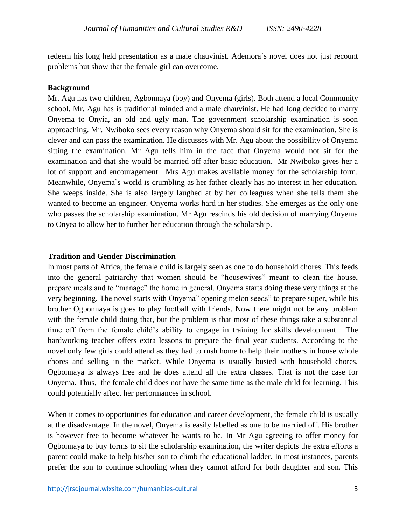redeem his long held presentation as a male chauvinist. Ademora`s novel does not just recount problems but show that the female girl can overcome.

### **Background**

Mr. Agu has two children, Agbonnaya (boy) and Onyema (girls). Both attend a local Community school. Mr. Agu has is traditional minded and a male chauvinist. He had long decided to marry Onyema to Onyia, an old and ugly man. The government scholarship examination is soon approaching. Mr. Nwiboko sees every reason why Onyema should sit for the examination. She is clever and can pass the examination. He discusses with Mr. Agu about the possibility of Onyema sitting the examination. Mr Agu tells him in the face that Onyema would not sit for the examination and that she would be married off after basic education. Mr Nwiboko gives her a lot of support and encouragement. Mrs Agu makes available money for the scholarship form. Meanwhile, Onyema`s world is crumbling as her father clearly has no interest in her education. She weeps inside. She is also largely laughed at by her colleagues when she tells them she wanted to become an engineer. Onyema works hard in her studies. She emerges as the only one who passes the scholarship examination. Mr Agu rescinds his old decision of marrying Onyema to Onyea to allow her to further her education through the scholarship.

### **Tradition and Gender Discrimination**

In most parts of Africa, the female child is largely seen as one to do household chores. This feeds into the general patriarchy that women should be "housewives" meant to clean the house, prepare meals and to "manage" the home in general. Onyema starts doing these very things at the very beginning. The novel starts with Onyema" opening melon seeds" to prepare super, while his brother Ogbonnaya is goes to play football with friends. Now there might not be any problem with the female child doing that, but the problem is that most of these things take a substantial time off from the female child's ability to engage in training for skills development. The hardworking teacher offers extra lessons to prepare the final year students. According to the novel only few girls could attend as they had to rush home to help their mothers in house whole chores and selling in the market. While Onyema is usually busied with household chores, Ogbonnaya is always free and he does attend all the extra classes. That is not the case for Onyema. Thus, the female child does not have the same time as the male child for learning. This could potentially affect her performances in school.

When it comes to opportunities for education and career development, the female child is usually at the disadvantage. In the novel, Onyema is easily labelled as one to be married off. His brother is however free to become whatever he wants to be. In Mr Agu agreeing to offer money for Ogbonnaya to buy forms to sit the scholarship examination, the writer depicts the extra efforts a parent could make to help his/her son to climb the educational ladder. In most instances, parents prefer the son to continue schooling when they cannot afford for both daughter and son. This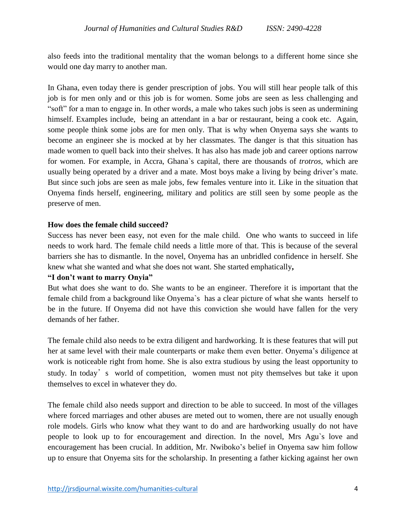also feeds into the traditional mentality that the woman belongs to a different home since she would one day marry to another man.

In Ghana, even today there is gender prescription of jobs. You will still hear people talk of this job is for men only and or this job is for women. Some jobs are seen as less challenging and "soft" for a man to engage in. In other words, a male who takes such jobs is seen as undermining himself. Examples include, being an attendant in a bar or restaurant, being a cook etc. Again, some people think some jobs are for men only. That is why when Onyema says she wants to become an engineer she is mocked at by her classmates. The danger is that this situation has made women to quell back into their shelves. It has also has made job and career options narrow for women. For example, in Accra, Ghana`s capital, there are thousands of *trotros*, which are usually being operated by a driver and a mate. Most boys make a living by being driver's mate. But since such jobs are seen as male jobs, few females venture into it. Like in the situation that Onyema finds herself, engineering, military and politics are still seen by some people as the preserve of men.

# **How does the female child succeed?**

Success has never been easy, not even for the male child. One who wants to succeed in life needs to work hard. The female child needs a little more of that. This is because of the several barriers she has to dismantle. In the novel, Onyema has an unbridled confidence in herself. She knew what she wanted and what she does not want. She started emphatically**,**

# **"I don't want to marry Onyia"**

But what does she want to do. She wants to be an engineer. Therefore it is important that the female child from a background like Onyema`s has a clear picture of what she wants herself to be in the future. If Onyema did not have this conviction she would have fallen for the very demands of her father.

The female child also needs to be extra diligent and hardworking. It is these features that will put her at same level with their male counterparts or make them even better. Onyema's diligence at work is noticeable right from home. She is also extra studious by using the least opportunity to study. In today's world of competition, women must not pity themselves but take it upon themselves to excel in whatever they do.

The female child also needs support and direction to be able to succeed. In most of the villages where forced marriages and other abuses are meted out to women, there are not usually enough role models. Girls who know what they want to do and are hardworking usually do not have people to look up to for encouragement and direction. In the novel, Mrs Agu`s love and encouragement has been crucial. In addition, Mr. Nwiboko's belief in Onyema saw him follow up to ensure that Onyema sits for the scholarship. In presenting a father kicking against her own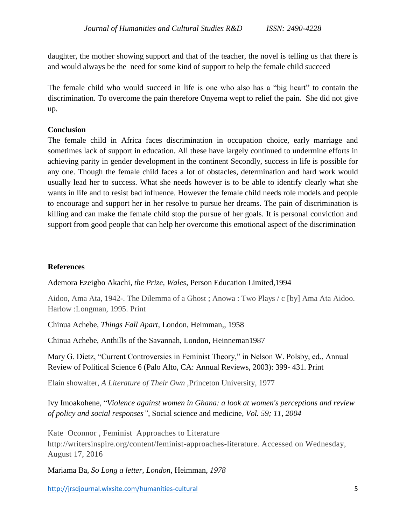daughter, the mother showing support and that of the teacher, the novel is telling us that there is and would always be the need for some kind of support to help the female child succeed

The female child who would succeed in life is one who also has a "big heart" to contain the discrimination. To overcome the pain therefore Onyema wept to relief the pain. She did not give up.

# **Conclusion**

The female child in Africa faces discrimination in occupation choice, early marriage and sometimes lack of support in education. All these have largely continued to undermine efforts in achieving parity in gender development in the continent Secondly, success in life is possible for any one. Though the female child faces a lot of obstacles, determination and hard work would usually lead her to success. What she needs however is to be able to identify clearly what she wants in life and to resist bad influence. However the female child needs role models and people to encourage and support her in her resolve to pursue her dreams. The pain of discrimination is killing and can make the female child stop the pursue of her goals. It is personal conviction and support from good people that can help her overcome this emotional aspect of the discrimination

# **References**

Ademora Ezeigbo Akachi, *the Prize, Wales,* Person Education Limited,1994

Aidoo, Ama Ata, 1942-. The Dilemma of a Ghost ; Anowa : Two Plays / c [by] Ama Ata Aidoo. Harlow :Longman, 1995. Print

Chinua Achebe, *Things Fall Apart*, London, Heimman,, 1958

Chinua Achebe, Anthills of the Savannah, London, Heinneman1987

Mary G. Dietz, "Current Controversies in Feminist Theory," in Nelson W. Polsby, ed., Annual Review of Political Science 6 (Palo Alto, CA: Annual Reviews, 2003): 399- 431. Print

Elain showalter, *A Literature of Their Own* ,Princeton University, 1977

Ivy Imoakohene, "*Violence against women in Ghana: a look at women's perceptions and review of policy and social responses",* Social science and medicine*, Vol. 59; 11, 2004*

Kate Oconnor , Feminist Approaches to Literature http://writersinspire.org/content/feminist-approaches-literature. Accessed on Wednesday, August 17, 2016

Mariama Ba, *So Long a letter, London*, Heimman, *1978*

<http://jrsdjournal.wixsite.com/humanities-cultural> 5